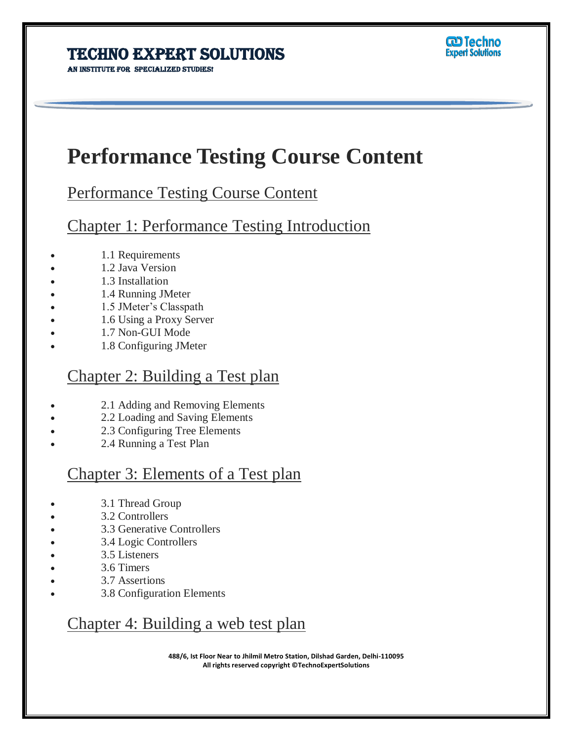AN INSTITUTE FOR SPECIALIZED STUDIES!

# **Performance Testing Course Content**

Ī

Performance Testing Course Content

Chapter 1: Performance Testing Introduction

- 1.1 Requirements
- 1.2 Java Version
- 1.3 Installation
- 1.4 Running JMeter
- 1.5 JMeter's Classpath
- 1.6 Using a Proxy Server
- 1.7 Non-GUI Mode
- 1.8 Configuring JMeter

#### Chapter 2: Building a Test plan

- 2.1 Adding and Removing Elements
- 2.2 Loading and Saving Elements
- 2.3 Configuring Tree Elements
- 2.4 Running a Test Plan

### Chapter 3: Elements of a Test plan

- 3.1 Thread Group
- 3.2 Controllers
- 3.3 Generative Controllers
- 3.4 Logic Controllers
- 3.5 Listeners
- 3.6 Timers
- 3.7 Assertions
- 3.8 Configuration Elements

### Chapter 4: Building a web test plan

**488/6, Ist Floor Near to Jhilmil Metro Station, Dilshad Garden, Delhi-110095 All rights reserved copyright ©TechnoExpertSolutions**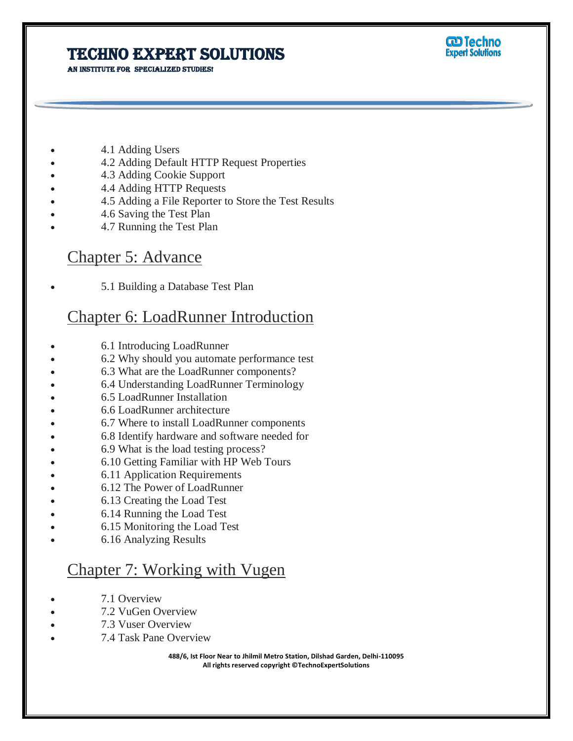AN INSTITUTE FOR SPECIALIZED STUDIES!



- 4.1 Adding Users
- 4.2 Adding Default HTTP Request Properties
- 4.3 Adding Cookie Support
- 4.4 Adding HTTP Requests
- 4.5 Adding a File Reporter to Store the Test Results
- 4.6 Saving the Test Plan
- 4.7 Running the Test Plan

#### Chapter 5: Advance

5.1 Building a Database Test Plan

### Chapter 6: LoadRunner Introduction

- 6.1 Introducing LoadRunner
- 6.2 Why should you automate performance test
- 6.3 What are the LoadRunner components?
- 6.4 Understanding LoadRunner Terminology
- 6.5 LoadRunner Installation
- 6.6 LoadRunner architecture
- 6.7 Where to install LoadRunner components
- 6.8 Identify hardware and software needed for
- 6.9 What is the load testing process?
- 6.10 Getting Familiar with HP Web Tours
- 6.11 Application Requirements
- 6.12 The Power of LoadRunner
- 6.13 Creating the Load Test
- 6.14 Running the Load Test
- 6.15 Monitoring the Load Test
- 6.16 Analyzing Results

#### Chapter 7: Working with Vugen

- 7.1 Overview
- 7.2 VuGen Overview
- 7.3 Vuser Overview
- 7.4 Task Pane Overview

**488/6, Ist Floor Near to Jhilmil Metro Station, Dilshad Garden, Delhi-110095 All rights reserved copyright ©TechnoExpertSolutions**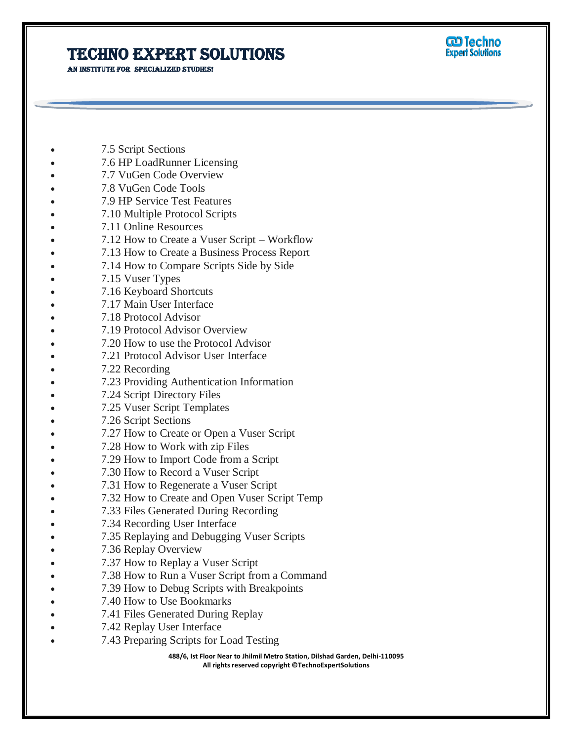AN INSTITUTE FOR SPECIALIZED STUDIES!



- 7.5 Script Sections
- 7.6 HP LoadRunner Licensing
- 7.7 VuGen Code Overview
- 7.8 VuGen Code Tools
- 7.9 HP Service Test Features
- 7.10 Multiple Protocol Scripts
- 7.11 Online Resources
- 7.12 How to Create a Vuser Script Workflow
- 7.13 How to Create a Business Process Report
- 7.14 How to Compare Scripts Side by Side
- 7.15 Vuser Types
- 7.16 Keyboard Shortcuts
- 7.17 Main User Interface
- 7.18 Protocol Advisor
- 7.19 Protocol Advisor Overview
- 7.20 How to use the Protocol Advisor
- 7.21 Protocol Advisor User Interface
- 7.22 Recording
- 7.23 Providing Authentication Information
- 7.24 Script Directory Files
- 7.25 Vuser Script Templates
- 7.26 Script Sections
- 7.27 How to Create or Open a Vuser Script
- 7.28 How to Work with zip Files
- 7.29 How to Import Code from a Script
- 7.30 How to Record a Vuser Script
- 7.31 How to Regenerate a Vuser Script
- 7.32 How to Create and Open Vuser Script Temp
- 7.33 Files Generated During Recording
- 7.34 Recording User Interface
- 7.35 Replaying and Debugging Vuser Scripts
- 7.36 Replay Overview
- 7.37 How to Replay a Vuser Script
- 7.38 How to Run a Vuser Script from a Command
- 7.39 How to Debug Scripts with Breakpoints
- 7.40 How to Use Bookmarks
- 7.41 Files Generated During Replay
- 7.42 Replay User Interface
- 7.43 Preparing Scripts for Load Testing

**488/6, Ist Floor Near to Jhilmil Metro Station, Dilshad Garden, Delhi-110095 All rights reserved copyright ©TechnoExpertSolutions**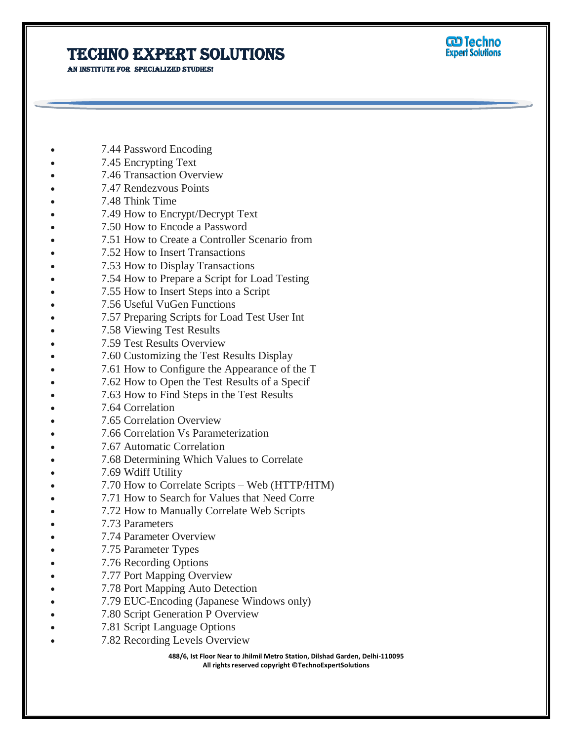AN INSTITUTE FOR SPECIALIZED STUDIES!



- 7.44 Password Encoding
- 7.45 Encrypting Text
- 7.46 Transaction Overview
- 7.47 Rendezvous Points
- 7.48 Think Time
- 7.49 How to Encrypt/Decrypt Text
- 7.50 How to Encode a Password
- 7.51 How to Create a Controller Scenario from
- 7.52 How to Insert Transactions
- 7.53 How to Display Transactions
- 7.54 How to Prepare a Script for Load Testing
- 7.55 How to Insert Steps into a Script
- 7.56 Useful VuGen Functions
- 7.57 Preparing Scripts for Load Test User Int
- 7.58 Viewing Test Results
- 7.59 Test Results Overview
- 7.60 Customizing the Test Results Display
- 7.61 How to Configure the Appearance of the T
- 7.62 How to Open the Test Results of a Specif
- 7.63 How to Find Steps in the Test Results
- 7.64 Correlation
- 7.65 Correlation Overview
- 7.66 Correlation Vs Parameterization
- 7.67 Automatic Correlation
- 7.68 Determining Which Values to Correlate
- 7.69 Wdiff Utility
- 7.70 How to Correlate Scripts Web (HTTP/HTM)
- 7.71 How to Search for Values that Need Corre
- 7.72 How to Manually Correlate Web Scripts
- 7.73 Parameters
- 7.74 Parameter Overview
- 7.75 Parameter Types
- 7.76 Recording Options
- 7.77 Port Mapping Overview
- 7.78 Port Mapping Auto Detection
- 7.79 EUC-Encoding (Japanese Windows only)
- 7.80 Script Generation P Overview
- 7.81 Script Language Options
- 7.82 Recording Levels Overview

**488/6, Ist Floor Near to Jhilmil Metro Station, Dilshad Garden, Delhi-110095 All rights reserved copyright ©TechnoExpertSolutions**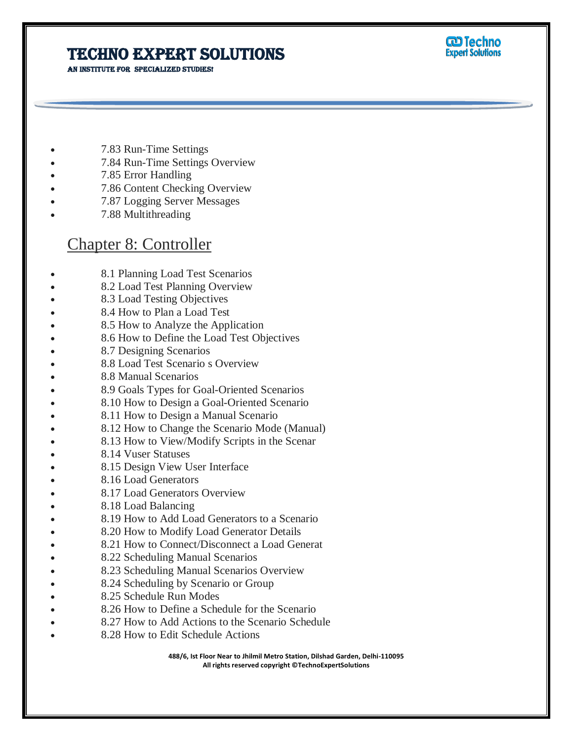AN INSTITUTE FOR SPECIALIZED STUDIES!



- 7.83 Run-Time Settings
- 7.84 Run-Time Settings Overview
- 7.85 Error Handling
- 7.86 Content Checking Overview
- 7.87 Logging Server Messages
- 7.88 Multithreading

### Chapter 8: Controller

- 8.1 Planning Load Test Scenarios
- 8.2 Load Test Planning Overview
- 8.3 Load Testing Objectives
- 8.4 How to Plan a Load Test
- 8.5 How to Analyze the Application
- 8.6 How to Define the Load Test Objectives
- 8.7 Designing Scenarios
- 8.8 Load Test Scenario s Overview
- 8.8 Manual Scenarios
- 8.9 Goals Types for Goal-Oriented Scenarios
- 8.10 How to Design a Goal-Oriented Scenario
- 8.11 How to Design a Manual Scenario
- 8.12 How to Change the Scenario Mode (Manual)
- 8.13 How to View/Modify Scripts in the Scenar
- 8.14 Vuser Statuses
- 8.15 Design View User Interface
- 8.16 Load Generators
- 8.17 Load Generators Overview
- 8.18 Load Balancing
- 8.19 How to Add Load Generators to a Scenario
- 8.20 How to Modify Load Generator Details
- 8.21 How to Connect/Disconnect a Load Generat
- 8.22 Scheduling Manual Scenarios
- 8.23 Scheduling Manual Scenarios Overview
- 8.24 Scheduling by Scenario or Group
- 8.25 Schedule Run Modes
- 8.26 How to Define a Schedule for the Scenario
- 8.27 How to Add Actions to the Scenario Schedule
- 8.28 How to Edit Schedule Actions

**488/6, Ist Floor Near to Jhilmil Metro Station, Dilshad Garden, Delhi-110095 All rights reserved copyright ©TechnoExpertSolutions**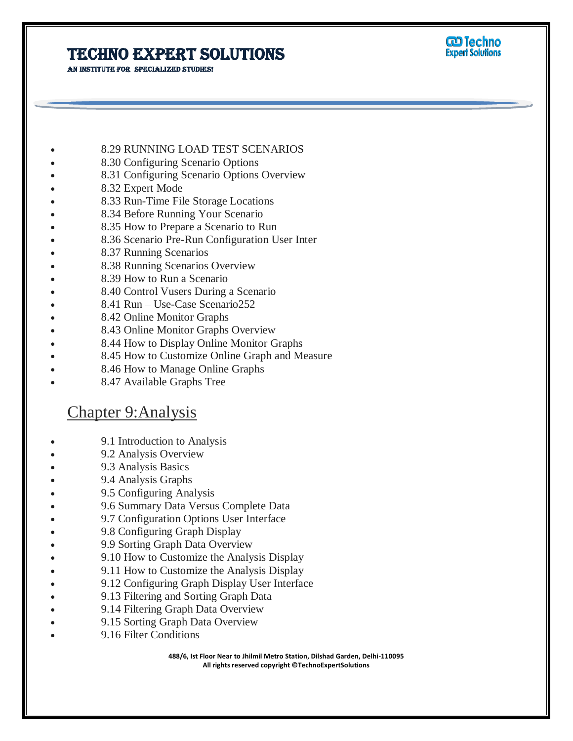AN INSTITUTE FOR SPECIALIZED STUDIES!



- 8.29 RUNNING LOAD TEST SCENARIOS
- 8.30 Configuring Scenario Options
- 8.31 Configuring Scenario Options Overview
- 8.32 Expert Mode
- 8.33 Run-Time File Storage Locations
- 8.34 Before Running Your Scenario
- 8.35 How to Prepare a Scenario to Run
- 8.36 Scenario Pre-Run Configuration User Inter
- 8.37 Running Scenarios
- 8.38 Running Scenarios Overview
- 8.39 How to Run a Scenario
- 8.40 Control Vusers During a Scenario
- 8.41 Run Use-Case Scenario252
- 8.42 Online Monitor Graphs
- 8.43 Online Monitor Graphs Overview
- 8.44 How to Display Online Monitor Graphs
- 8.45 How to Customize Online Graph and Measure
- 8.46 How to Manage Online Graphs
- 8.47 Available Graphs Tree

### Chapter 9:Analysis

- 9.1 Introduction to Analysis
- 9.2 Analysis Overview
- 9.3 Analysis Basics
- 9.4 Analysis Graphs
- 9.5 Configuring Analysis
- 9.6 Summary Data Versus Complete Data
- 9.7 Configuration Options User Interface
- 9.8 Configuring Graph Display
- 9.9 Sorting Graph Data Overview
- 9.10 How to Customize the Analysis Display
- 9.11 How to Customize the Analysis Display
- 9.12 Configuring Graph Display User Interface
- 9.13 Filtering and Sorting Graph Data
- 9.14 Filtering Graph Data Overview
- 9.15 Sorting Graph Data Overview
- 9.16 Filter Conditions

**488/6, Ist Floor Near to Jhilmil Metro Station, Dilshad Garden, Delhi-110095 All rights reserved copyright ©TechnoExpertSolutions**